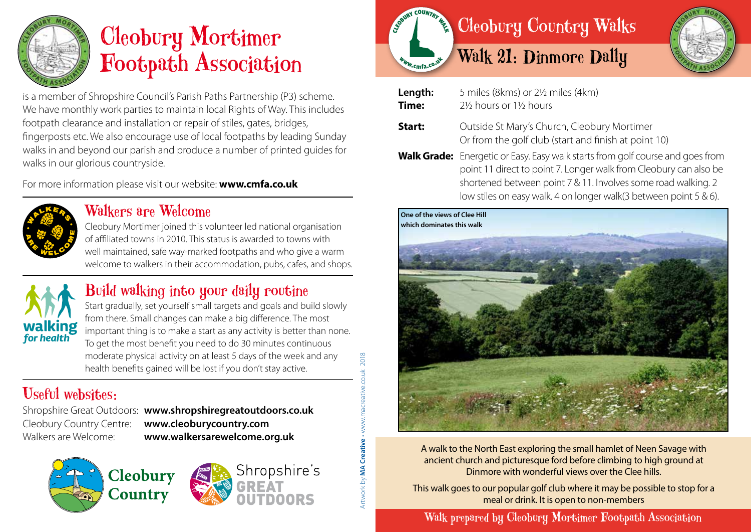

# Cleobury Mortimer Footpath Association

is a member of Shropshire Council's Parish Paths Partnership (P3) scheme. We have monthly work parties to maintain local Rights of Way. This includes footpath clearance and installation or repair of stiles, gates, bridges, fingerposts etc. We also encourage use of local footpaths by leading Sunday walks in and beyond our parish and produce a number of printed guides for walks in our glorious countryside.

For more information please visit our website: **www.cmfa.co.uk**



#### Walkers are Welcome

Cleobury Mortimer joined this volunteer led national organisation of affiliated towns in 2010. This status is awarded to towns with well maintained, safe way-marked footpaths and who give a warm welcome to walkers in their accommodation, pubs, cafes, and shops.



## Build walking into your daily routine

Start gradually, set yourself small targets and goals and build slowly from there. Small changes can make a big difference. The most important thing is to make a start as any activity is better than none. To get the most benefit you need to do 30 minutes continuous moderate physical activity on at least 5 days of the week and any health benefits gained will be lost if you don't stay active.

## Useful websites:

Shropshire Great Outdoors: **www.shropshiregreatoutdoors.co.uk**  Cleobury Country Centre: **www.cleoburycountry.com** Walkers are Welcome: **www.walkersarewelcome.org.uk**









#### **Length:** 5 miles (8kms) or 2½ miles (4km) **Time:** 2½ hours or 1½ hours **Start:** Outside St Mary's Church, Cleobury Mortimer Or from the golf club (start and finish at point 10) **Walk Grade:** Energetic or Easy. Easy walk starts from golf course and goes from point 11 direct to point 7. Longer walk from Cleobury can also be shortened between point 7 & 11. Involves some road walking. 2 low stiles on easy walk. 4 on longer walk(3 between point 5 & 6).



A walk to the North East exploring the small hamlet of Neen Savage with ancient church and picturesque ford before climbing to high ground at Dinmore with wonderful views over the Clee hills.

This walk goes to our popular golf club where it may be possible to stop for a meal or drink. It is open to non-members

Walk prepared by Cleobury Mortimer Footpath Association